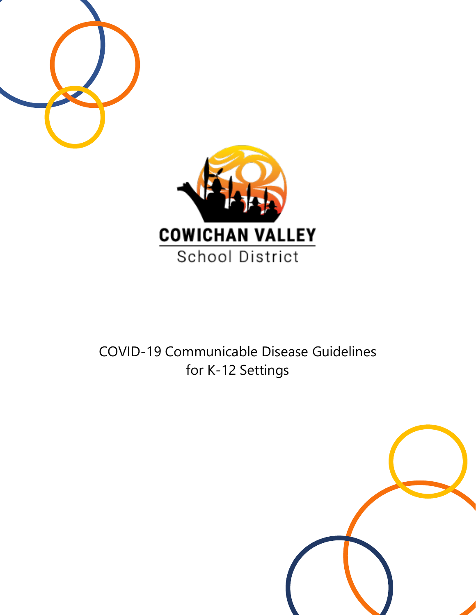

# **School District**

# COVID-19 Communicable Disease Guidelines for K-12 Settings

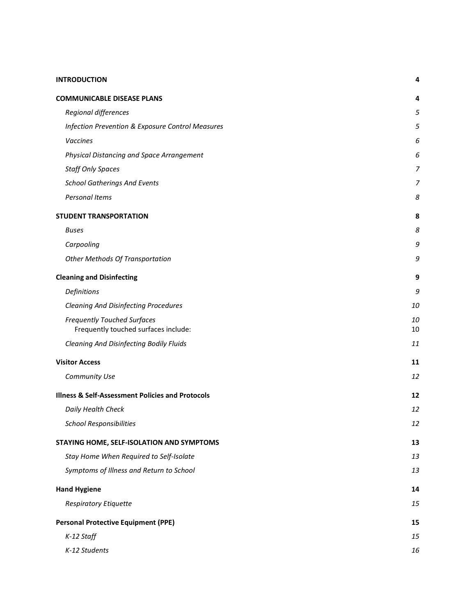#### **[INTRODUCTION](#page-3-0) 4**

| <b>COMMUNICABLE DISEASE PLANS</b>                                          | 4        |
|----------------------------------------------------------------------------|----------|
| Regional differences                                                       | 5        |
| Infection Prevention & Exposure Control Measures                           | 5        |
| Vaccines                                                                   | 6        |
| Physical Distancing and Space Arrangement                                  | 6        |
| <b>Staff Only Spaces</b>                                                   | 7        |
| <b>School Gatherings And Events</b>                                        | 7        |
| Personal Items                                                             | 8        |
| <b>STUDENT TRANSPORTATION</b>                                              | 8        |
| Buses                                                                      | 8        |
| Carpooling                                                                 | 9        |
| <b>Other Methods Of Transportation</b>                                     | 9        |
| <b>Cleaning and Disinfecting</b>                                           | 9        |
| Definitions                                                                | 9        |
| <b>Cleaning And Disinfecting Procedures</b>                                | 10       |
| <b>Frequently Touched Surfaces</b><br>Frequently touched surfaces include: | 10<br>10 |
| Cleaning And Disinfecting Bodily Fluids                                    | 11       |
| <b>Visitor Access</b>                                                      | 11       |
| Community Use                                                              | 12       |
| <b>Illness &amp; Self-Assessment Policies and Protocols</b>                | 12       |
| Daily Health Check                                                         | 12       |
| <b>School Responsibilities</b>                                             | 12       |
| STAYING HOME, SELF-ISOLATION AND SYMPTOMS                                  | 13       |
| Stay Home When Required to Self-Isolate                                    | 13       |
| Symptoms of Illness and Return to School                                   | 13       |
| <b>Hand Hygiene</b>                                                        | 14       |
| <b>Respiratory Etiquette</b>                                               | 15       |
| <b>Personal Protective Equipment (PPE)</b>                                 | 15       |
| K-12 Staff                                                                 | 15       |
| K-12 Students                                                              | 16       |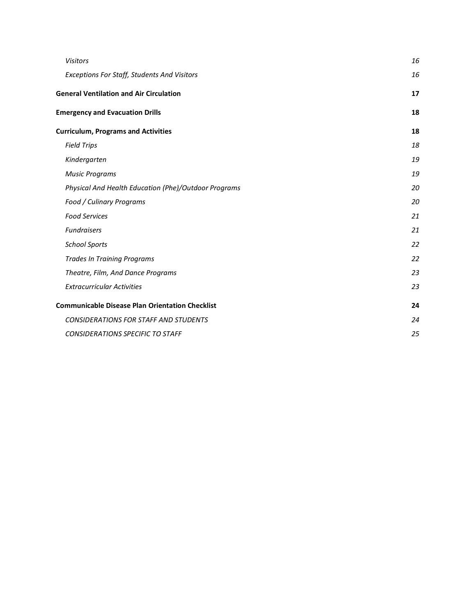| <b>Visitors</b>                                        | 16 |
|--------------------------------------------------------|----|
| <b>Exceptions For Staff, Students And Visitors</b>     | 16 |
| <b>General Ventilation and Air Circulation</b>         | 17 |
| <b>Emergency and Evacuation Drills</b>                 | 18 |
| <b>Curriculum, Programs and Activities</b>             | 18 |
| <b>Field Trips</b>                                     | 18 |
| Kindergarten                                           | 19 |
| <b>Music Programs</b>                                  | 19 |
| Physical And Health Education (Phe)/Outdoor Programs   | 20 |
| Food / Culinary Programs                               | 20 |
| <b>Food Services</b>                                   | 21 |
| <b>Fundraisers</b>                                     | 21 |
| <b>School Sports</b>                                   | 22 |
| <b>Trades In Training Programs</b>                     | 22 |
| Theatre, Film, And Dance Programs                      | 23 |
| <b>Extracurricular Activities</b>                      | 23 |
| <b>Communicable Disease Plan Orientation Checklist</b> | 24 |
| <b>CONSIDERATIONS FOR STAFF AND STUDENTS</b>           | 24 |
| <b>CONSIDERATIONS SPECIFIC TO STAFF</b>                | 25 |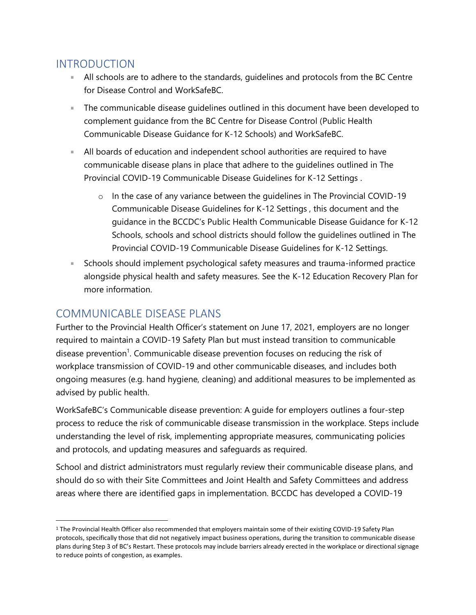#### <span id="page-3-0"></span>INTRODUCTION

- All schools are to adhere to the standards, guidelines and protocols from the BC Centre for Disease Control and [WorkSafeBC.](https://www.worksafebc.com/en/about-us/covid-19-updates/covid-19-returning-safe-operation/education)
- The communicable disease guidelines outlined in this document have been developed to complement guidance from the BC Centre for Disease Control [\(Public Health](http://www.bccdc.ca/Health-Info-Site/Documents/COVID_public_guidance/Guidance-k-12-schools.pdf)  [Communicable Disease Guidance for K-12 Schools\)](http://www.bccdc.ca/Health-Info-Site/Documents/COVID_public_guidance/Guidance-k-12-schools.pdf) and WorkSafeBC.
- All boards of education and independent school authorities are required to have communicable disease plans in place that adhere to the guidelines outlined in The Provincial COVID-19 Communicable Disease Guidelines for K-12 Settings .
	- o In the case of any variance between the guidelines in The Provincial COVID-19 Communicable Disease Guidelines for K-12 Settings , this document and the guidance in the BCCDC's [Public Health Communicable Disease Guidance for K-12](http://www.bccdc.ca/Health-Info-Site/Documents/COVID_public_guidance/Guidance-k-12-schools.pdf)  [Schools,](http://www.bccdc.ca/Health-Info-Site/Documents/COVID_public_guidance/Guidance-k-12-schools.pdf) schools and school districts should follow the guidelines outlined in The Provincial COVID-19 Communicable Disease Guidelines for K-12 Settings.
- Schools should implement psychological safety measures and trauma-informed practice alongside physical health and safety measures. See the [K-12 Education Recovery Plan](https://www2.gov.bc.ca/assets/gov/education/administration/kindergarten-to-grade-12/safe-caring-orderly/k-12-education-recovery-plan.pdf) for more information.

# <span id="page-3-1"></span>COMMUNICABLE DISEASE PLANS

Further to the Provincial Health Officer's [statement](https://www2.gov.bc.ca/assets/gov/health/about-bc-s-health-care-system/office-of-the-provincial-health-officer/covid-19/covid-19-pho-letter-communicable-disease-plans.pdf) on June 17, 2021, employers are no longer required to maintain a COVID-19 Safety Plan but must instead transition to communicable disease prevention<sup>1</sup>. Communicable disease prevention focuses on reducing the risk of workplace transmission of COVID-19 and other communicable diseases, and includes both ongoing measures (e.g. hand hygiene, cleaning) and additional measures to be implemented as advised by public health.

WorkSafeBC's [Communicable disease prevention: A guide for employers](https://www.worksafebc.com/en/resources/health-safety/books-guides/communicable-disease-prevention-guide-employers) outlines a four-step process to reduce the risk of communicable disease transmission in the workplace. Steps include understanding the level of risk, implementing appropriate measures, communicating policies and protocols, and updating measures and safeguards as required.

School and district administrators must regularly review their communicable disease plans, and should do so with their Site Committees and Joint Health and Safety Committees and address areas where there are identified gaps in implementation. BCCDC has developed a [COVID-19](http://www.bccdc.ca/schools/Documents/Health_Safety_Checklist.pdf) 

<sup>1</sup> The Provincial Health Officer also recommended that employers maintain some of their existing COVID-19 Safety Plan protocols, specifically those that did not negatively impact business operations, during the transition to communicable disease plans during Step 3 of BC's Restart. These protocols may include barriers already erected in the workplace or directional signage to reduce points of congestion, as examples.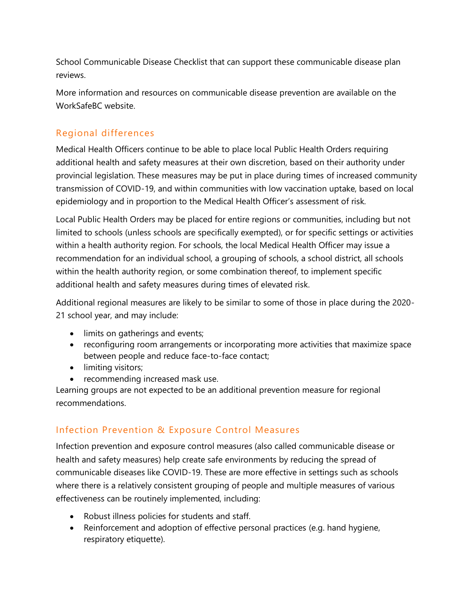[School Communicable Disease Checklist](http://www.bccdc.ca/schools/Documents/Health_Safety_Checklist.pdf) that can support these communicable disease plan reviews.

More information and resources on communicable disease prevention are available on the [WorkSafeBC website.](https://www.worksafebc.com/en/covid-19/bcs-four-step-restart)

#### <span id="page-4-0"></span>Regional differences

Medical Health Officers continue to be able to place local Public Health Orders requiring additional health and safety measures at their own discretion, based on their authority under provincial legislation. These measures may be put in place during times of increased community transmission of COVID-19, and within communities with low vaccination uptake, based on local epidemiology and in proportion to the Medical Health Officer's assessment of risk.

Local Public Health Orders may be placed for entire regions or communities, including but not limited to schools (unless schools are specifically exempted), or for specific settings or activities within a health authority region. For schools, the local Medical Health Officer may issue a recommendation for an individual school, a grouping of schools, a school district, all schools within the health authority region, or some combination thereof, to implement specific additional health and safety measures during times of elevated risk.

Additional regional measures are likely to be similar to some of those in place during the 2020- 21 school year, and may include:

- limits on gatherings and events;
- reconfiguring room arrangements or incorporating more activities that maximize space between people and reduce face-to-face contact;
- limiting visitors;
- recommending increased mask use.

Learning groups are not expected to be an additional prevention measure for regional recommendations.

#### <span id="page-4-1"></span>Infection Prevention & Exposure Control Measures

Infection prevention and exposure control measures (also called communicable disease or health and safety measures) help create safe environments by reducing the spread of communicable diseases like COVID-19. These are more effective in settings such as schools where there is a relatively consistent grouping of people and multiple measures of various effectiveness can be routinely implemented, including:

- Robust illness policies for students and staff.
- Reinforcement and adoption of effective personal practices (e.g. hand hygiene, respiratory etiquette).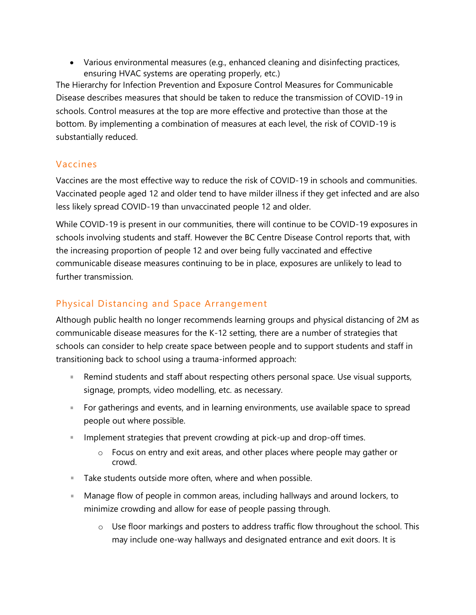• Various environmental measures (e.g., enhanced cleaning and disinfecting practices, ensuring HVAC systems are operating properly, etc.)

The Hierarchy for Infection Prevention and Exposure Control Measures for Communicable Disease describes measures that should be taken to reduce the transmission of COVID-19 in schools. Control measures at the top are more effective and protective than those at the bottom. By implementing a combination of measures at each level, the risk of COVID-19 is substantially reduced.

#### <span id="page-5-0"></span>Vaccines

Vaccines are the most effective way to reduce the risk of COVID-19 in schools and communities. Vaccinated people aged 12 and older tend to have milder illness if they get infected and are also less likely spread COVID-19 than unvaccinated people 12 and older.

While COVID-19 is present in our communities, there will continue to be COVID-19 exposures in schools involving students and staff. However the BC Centre Disease Control reports that, with the increasing proportion of people 12 and over being fully vaccinated and effective communicable disease measures continuing to be in place, exposures are unlikely to lead to further transmission.

#### <span id="page-5-1"></span>Physical Distancing and Space Arrangement

Although public health no longer recommends learning groups and physical distancing of 2M as communicable disease measures for the K-12 setting, there are a number of strategies that schools can consider to help create space between people and to support students and staff in transitioning back to school using a trauma-informed approach:

- Remind students and staff about respecting others personal space. Use visual supports, signage, prompts, video modelling, etc. as necessary.
- **For gatherings and events, and in learning environments, use available space to spread** people out where possible.
- **IMPLEM** 15 Implement strategies that prevent crowding at pick-up and drop-off times.
	- o Focus on entry and exit areas, and other places where people may gather or crowd.
- **Take students outside more often, where and when possible.**
- Manage flow of people in common areas, including hallways and around lockers, to minimize crowding and allow for ease of people passing through.
	- o Use floor markings and posters to address traffic flow throughout the school. This may include one-way hallways and designated entrance and exit doors. It is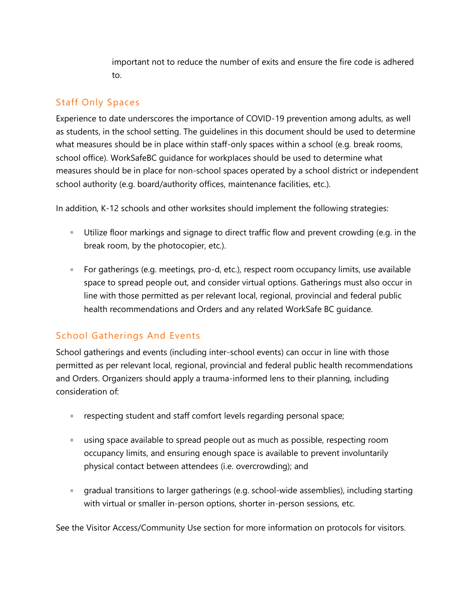important not to reduce the number of exits and ensure the fire code is adhered to.

#### <span id="page-6-0"></span>Staff Only Spaces

Experience to date underscores the importance of COVID-19 prevention among adults, as well as students, in the school setting. The guidelines in this document should be used to determine what measures should be in place within staff-only spaces within a school (e.g. break rooms, school office). WorkSafeBC guidance for workplaces should be used to determine what measures should be in place for non-school spaces operated by a school district or independent school authority (e.g. board/authority offices, maintenance facilities, etc.).

In addition, K-12 schools and other worksites should implement the following strategies:

- Utilize floor markings and signage to direct traffic flow and prevent crowding (e.g. in the break room, by the photocopier, etc.).
- For gatherings (e.g. meetings, pro-d, etc.), respect room occupancy limits, use available space to spread people out, and consider virtual options. Gatherings must also occur in line with those permitted as per relevant local, regional, provincial and federal public health recommendations and Orders and any related WorkSafe BC guidance.

#### <span id="page-6-1"></span>School Gatherings And Events

School gatherings and events (including inter-school events) can occur in line with those permitted as per relevant local, regional, provincial and federal public health recommendations and Orders. Organizers should apply a trauma-informed lens to their planning, including consideration of:

- respecting student and staff comfort levels regarding personal space; a.
- using space available to spread people out as much as possible, respecting room occupancy limits, and ensuring enough space is available to prevent involuntarily physical contact between attendees (i.e. overcrowding); and
- gradual transitions to larger gatherings (e.g. school-wide assemblies), including starting with virtual or smaller in-person options, shorter in-person sessions, etc.

See the Visitor Access/Community Use section for more information on protocols for visitors.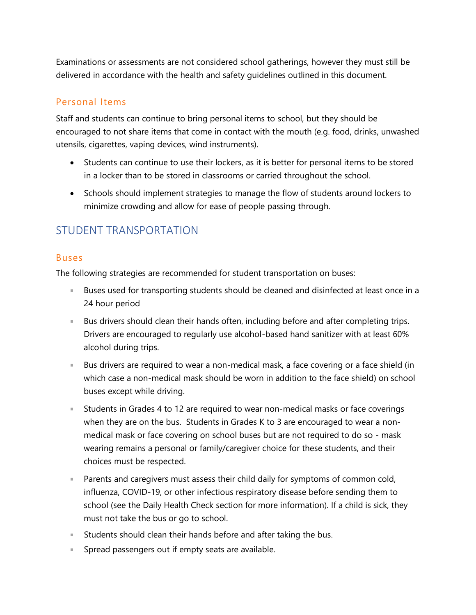Examinations or assessments are not considered school gatherings, however they must still be delivered in accordance with the health and safety guidelines outlined in this document.

#### <span id="page-7-0"></span>Personal Items

Staff and students can continue to bring personal items to school, but they should be encouraged to not share items that come in contact with the mouth (e.g. food, drinks, unwashed utensils, cigarettes, vaping devices, wind instruments).

- Students can continue to use their lockers, as it is better for personal items to be stored in a locker than to be stored in classrooms or carried throughout the school.
- Schools should implement strategies to manage the flow of students around lockers to minimize crowding and allow for ease of people passing through.

# <span id="page-7-2"></span><span id="page-7-1"></span>STUDENT TRANSPORTATION

#### Buses

The following strategies are recommended for student transportation on buses:

- Buses used for transporting students should be cleaned and disinfected at least once in a 24 hour period
- **Bus drivers should clean their hands often, including before and after completing trips.** Drivers are encouraged to regularly use alcohol-based hand sanitizer with at least 60% alcohol during trips.
- Bus drivers are required to wear a non-medical mask, a face covering or a face shield (in which case a non-medical mask should be worn in addition to the face shield) on school buses except while driving.
- Students in Grades 4 to 12 are required to wear non-medical masks or face coverings when they are on the bus. Students in Grades K to 3 are encouraged to wear a nonmedical mask or face covering on school buses but are not required to do so - mask wearing remains a personal or family/caregiver choice for these students, and their choices must be respected.
- **Parents and caregivers must assess their child daily for symptoms of common cold,** influenza, COVID-19, or other infectious respiratory disease before sending them to school (see the Daily Health Check section for more information). If a child is sick, they must not take the bus or go to school.
- Students should clean their hands before and after taking the bus.
- **Spread passengers out if empty seats are available.**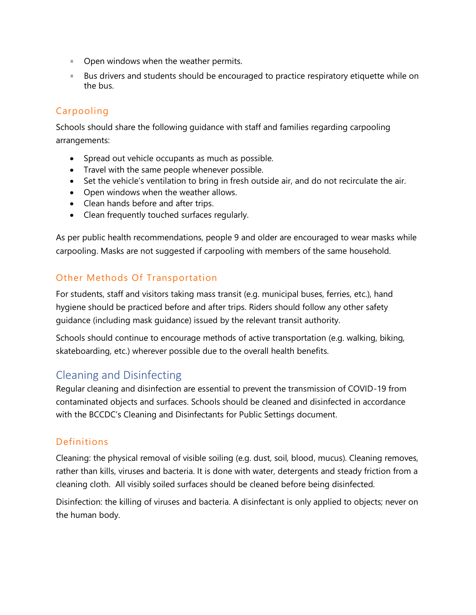- **Den windows when the weather permits.**
- **Bus drivers and students should be encouraged to practice respiratory etiquette while on** the bus.

#### <span id="page-8-0"></span>Carpooling

Schools should share the following guidance with staff and families regarding carpooling arrangements:

- Spread out vehicle occupants as much as possible.
- Travel with the same people whenever possible.
- Set the vehicle's ventilation to bring in fresh outside air, and do not recirculate the air.
- Open windows when the weather allows.
- Clean hands before and after trips.
- Clean frequently touched surfaces regularly.

As per public health recommendations, people 9 and older are encouraged to wear masks while carpooling. Masks are not suggested if carpooling with members of the same household.

#### <span id="page-8-1"></span>Other Methods Of Transportation

For students, staff and visitors taking mass transit (e.g. municipal buses, ferries, etc.), hand hygiene should be practiced before and after trips. Riders should follow any other safety guidance (including mask guidance) issued by the relevant transit authority.

Schools should continue to encourage methods of active transportation (e.g. walking, biking, skateboarding, etc.) wherever possible due to the overall health benefits.

# <span id="page-8-2"></span>Cleaning and Disinfecting

Regular cleaning and disinfection are essential to prevent the transmission of COVID-19 from contaminated objects and surfaces. Schools should be cleaned and disinfected in accordance with the [BCCDC's Cleaning and Disinfectants for Public Settings document](http://www.bccdc.ca/Health-Info-Site/Documents/CleaningDisinfecting_PublicSettings.pdf).

#### <span id="page-8-3"></span>Definitions

Cleaning: the physical removal of visible soiling (e.g. dust, soil, blood, mucus). Cleaning removes, rather than kills, viruses and bacteria. It is done with water, detergents and steady friction from a cleaning cloth. All visibly soiled surfaces should be cleaned before being disinfected.

Disinfection: the killing of viruses and bacteria. A disinfectant is only applied to objects; never on the human body.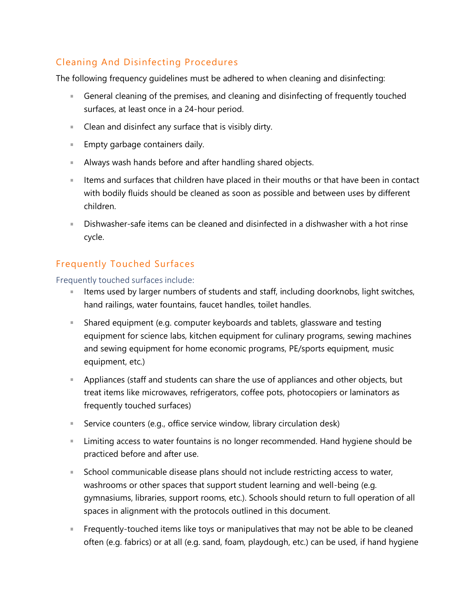#### <span id="page-9-0"></span>Cleaning And Disinfecting Procedures

The following frequency guidelines must be adhered to when cleaning and disinfecting:

- General cleaning of the premises, and cleaning and disinfecting of frequently touched surfaces, at least once in a 24-hour period.
- **Clean and disinfect any surface that is visibly dirty.**
- **Empty garbage containers daily.**
- Always wash hands before and after handling shared objects.
- Items and surfaces that children have placed in their mouths or that have been in contact with bodily fluids should be cleaned as soon as possible and between uses by different children.
- Dishwasher-safe items can be cleaned and disinfected in a dishwasher with a hot rinse cycle.

#### <span id="page-9-1"></span>Frequently Touched Surfaces

<span id="page-9-2"></span>Frequently touched surfaces include:

- a. Items used by larger numbers of students and staff, including doorknobs, light switches, hand railings, water fountains, faucet handles, toilet handles.
- Shared equipment (e.g. computer keyboards and tablets, glassware and testing equipment for science labs, kitchen equipment for culinary programs, sewing machines and sewing equipment for home economic programs, PE/sports equipment, music equipment, etc.)
- **Appliances (staff and students can share the use of appliances and other objects, but** treat items like microwaves, refrigerators, coffee pots, photocopiers or laminators as frequently touched surfaces)
- Service counters (e.g., office service window, library circulation desk)
- **Limiting access to water fountains is no longer recommended. Hand hygiene should be** practiced before and after use.
- a. School communicable disease plans should not include restricting access to water, washrooms or other spaces that support student learning and well-being (e.g. gymnasiums, libraries, support rooms, etc.). Schools should return to full operation of all spaces in alignment with the protocols outlined in this document.
- **Figuently-touched items like toys or manipulatives that may not be able to be cleaned** often (e.g. fabrics) or at all (e.g. sand, foam, playdough, etc.) can be used, if hand hygiene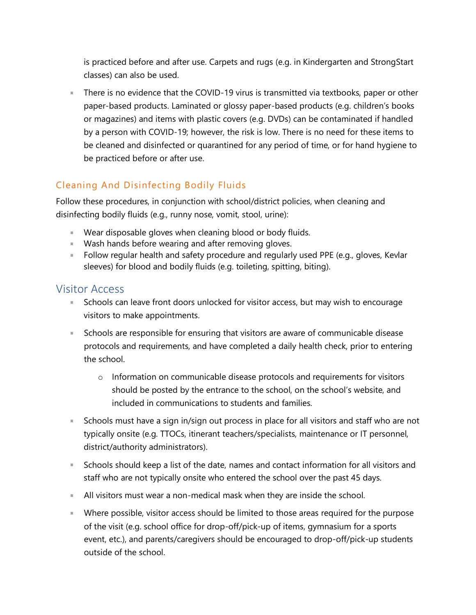is practiced before and after use. Carpets and rugs (e.g. in Kindergarten and StrongStart classes) can also be used.

There is no evidence that the COVID-19 virus is transmitted via textbooks, paper or other paper-based products. Laminated or glossy paper-based products (e.g. children's books or magazines) and items with plastic covers (e.g. DVDs) can be contaminated if handled by a person with COVID-19; however, the risk is low. There is no need for these items to be cleaned and disinfected or quarantined for any period of time, or for hand hygiene to be practiced before or after use.

### <span id="page-10-0"></span>Cleaning And Disinfecting Bodily Fluids

Follow these procedures, in conjunction with school/district policies, when cleaning and disinfecting bodily fluids (e.g., runny nose, vomit, stool, urine):

- Wear disposable gloves when cleaning blood or body fluids.
- **Wash hands before wearing and after removing gloves.**
- **Follow regular health and safety procedure and regularly used PPE (e.g., gloves, Kevlar** sleeves) for blood and bodily fluids (e.g. toileting, spitting, biting).

#### <span id="page-10-1"></span>Visitor Access

- **Schools can leave front doors unlocked for visitor access, but may wish to encourage** visitors to make appointments.
- **Schools are responsible for ensuring that visitors are aware of communicable disease** protocols and requirements, and have completed a daily health check, prior to entering the school.
	- $\circ$  Information on communicable disease protocols and requirements for visitors should be posted by the entrance to the school, on the school's website, and included in communications to students and families.
- **Schools must have a sign in/sign out process in place for all visitors and staff who are not** typically onsite (e.g. TTOCs, itinerant teachers/specialists, maintenance or IT personnel, district/authority administrators).
- Schools should keep a list of the date, names and contact information for all visitors and staff who are not typically onsite who entered the school over the past 45 days.
- All visitors must wear a non-medical mask when they are inside the school.
- **Where possible, visitor access should be limited to those areas required for the purpose** of the visit (e.g. school office for drop-off/pick-up of items, gymnasium for a sports event, etc.), and parents/caregivers should be encouraged to drop-off/pick-up students outside of the school.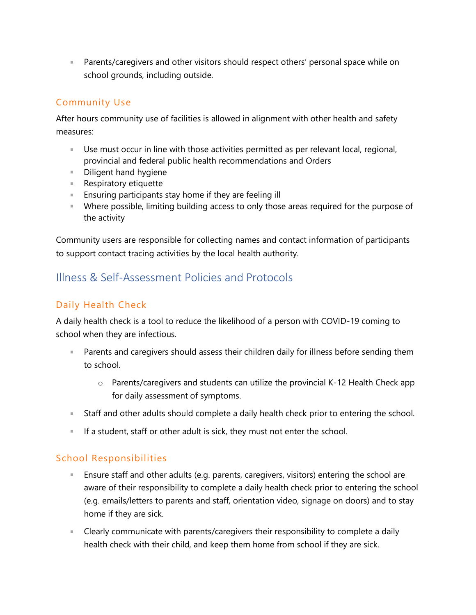**Parents/caregivers and other visitors should respect others' personal space while on** school grounds, including outside.

#### <span id="page-11-0"></span>Community Use

After hours community use of facilities is allowed in alignment with other health and safety measures:

- Use must occur in line with those activities permitted as per relevant local, regional, provincial and federal public health recommendations and Orders
- **Diligent hand hygiene**
- **Respiratory etiquette**
- **Ensuring participants stay home if they are feeling ill**
- Where possible, limiting building access to only those areas required for the purpose of the activity

Community users are responsible for collecting names and contact information of participants to support contact tracing activities by the local health authority.

# <span id="page-11-2"></span><span id="page-11-1"></span>Illness & Self-Assessment Policies and Protocols

#### Daily Health Check

A daily health check is a tool to reduce the likelihood of a person with COVID-19 coming to school when they are infectious.

- **Parents and caregivers should assess their children daily for illness before sending them** to school.
	- o Parents/caregivers and students can utilize the provincial [K-12 Health Check app](https://www.k12dailycheck.gov.bc.ca/) for daily assessment of symptoms.
- **Staff and other adults should complete a daily health check prior to entering the school.**
- If a student, staff or other adult is sick, they must not enter the school.

#### <span id="page-11-3"></span>School Responsibilities

- **Ensure staff and other adults (e.g. parents, caregivers, visitors) entering the school are** aware of their responsibility to complete a daily health check prior to entering the school (e.g. emails/letters to parents and staff, orientation video, signage on doors) and to stay home if they are sick.
- **EXP** Clearly communicate with parents/caregivers their responsibility to complete a daily health check with their child, and keep them home from school if they are sick.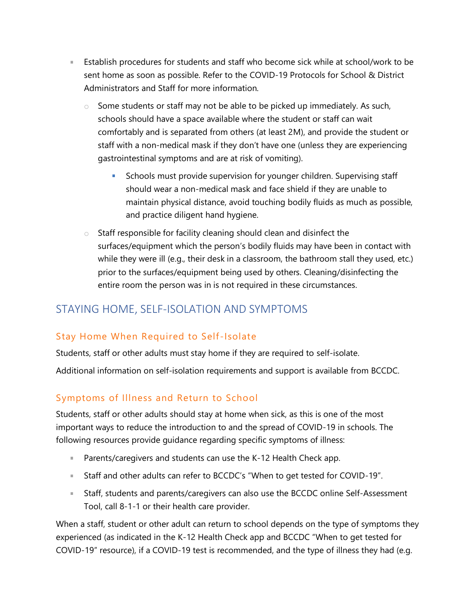- **Establish procedures for students and staff who become sick while at school/work to be** sent home as soon as possible. Refer to the [COVID-19 Protocols for School & District](https://www2.gov.bc.ca/assets/download/01C64AF4C9E24838B8FE94C58D4F5541)  [Administrators and Staff](https://www2.gov.bc.ca/assets/download/01C64AF4C9E24838B8FE94C58D4F5541) for more information.
	- $\circ$  Some students or staff may not be able to be picked up immediately. As such, schools should have a space available where the student or staff can wait comfortably and is separated from others (at least 2M), and provide the student or staff with a non-medical mask if they don't have one (unless they are experiencing gastrointestinal symptoms and are at risk of vomiting).
		- Schools must provide supervision for younger children. Supervising staff should wear a non-medical mask and face shield if they are unable to maintain physical distance, avoid touching bodily fluids as much as possible, and practice diligent hand hygiene.
	- o Staff responsible for facility cleaning should clean and disinfect the surfaces/equipment which the person's bodily fluids may have been in contact with while they were ill (e.g., their desk in a classroom, the bathroom stall they used, etc.) prior to the surfaces/equipment being used by others. Cleaning/disinfecting the entire room the person was in is not required in these circumstances.

# <span id="page-12-1"></span><span id="page-12-0"></span>STAYING HOME, SELF-ISOLATION AND SYMPTOMS

#### Stay Home When Required to Self -Isolate

Students, staff or other adults must stay home if they are required to [self-isolate.](http://www.bccdc.ca/health-info/diseases-conditions/covid-19/self-isolation)

Additional information on self-isolation requirements and support is available from [BCCDC.](http://www.bccdc.ca/health-info/diseases-conditions/covid-19/self-isolation)

#### <span id="page-12-2"></span>Symptoms of Illness and Return to School

Students, staff or other adults should stay at home when sick, as this is one of the most important ways to reduce the introduction to and the spread of COVID-19 in schools. The following resources provide guidance regarding specific symptoms of illness:

- **Parents/caregivers and students can use the [K-12 Health Check app.](https://www.k12dailycheck.gov.bc.ca/)**
- Staff and other adults can refer to BCCDC's "[When to get tested for COVID-19](http://www.bccdc.ca/Health-Info-Site/Documents/COVID_public_guidance/When_to_get_tested.pdf)".
- Staff, students and parents/caregivers can also use the BCCDC online [Self-Assessment](https://bc.thrive.health/)  [Tool,](https://bc.thrive.health/) call 8-1-1 or their health care provider.

When a staff, student or other adult can return to school depends on the type of symptoms they experienced (as indicated in the [K-12 Health Check app](https://www.k12dailycheck.gov.bc.ca/) and BCCDC "[When to get tested for](http://www.bccdc.ca/Health-Info-Site/Documents/COVID_public_guidance/When_to_get_tested.pdf)  [COVID-19](http://www.bccdc.ca/Health-Info-Site/Documents/COVID_public_guidance/When_to_get_tested.pdf)" resource), if a COVID-19 test is recommended, and the type of illness they had (e.g.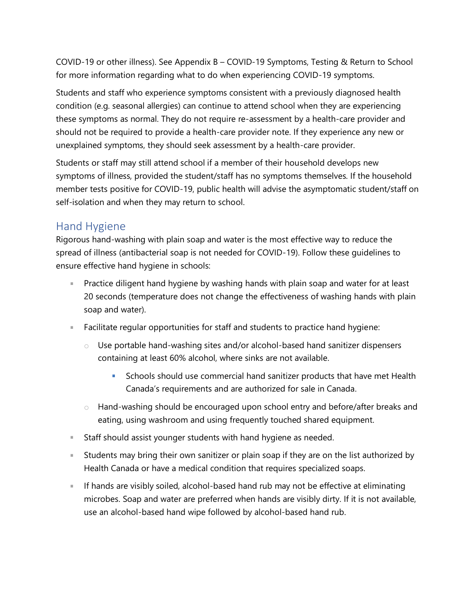COVID-19 or other illness). See Appendix B – COVID-19 Symptoms, Testing & Return to School for more information regarding what to do when experiencing COVID-19 symptoms.

Students and staff who experience symptoms consistent with a previously diagnosed health condition (e.g. seasonal allergies) can continue to attend school when they are experiencing these symptoms as normal. They do not require re-assessment by a health-care provider and should not be required to provide a health-care provider note. If they experience any new or unexplained symptoms, they should seek assessment by a health-care provider.

Students or staff may still attend school if a member of their household develops new symptoms of illness, provided the student/staff has no symptoms themselves. If the household member tests positive for COVID-19, public health will advise the asymptomatic student/staff on self-isolation and when they may return to school.

#### <span id="page-13-0"></span>Hand Hygiene

Rigorous hand-washing with plain soap and water is the most effective way to reduce the spread of illness (antibacterial soap is not needed for COVID-19). Follow these guidelines to ensure effective hand hygiene in schools:

- **Practice diligent hand hygiene by washing hands with plain soap and water for at least** 20 seconds (temperature does not change the effectiveness of washing hands with plain soap and water).
- **Facilitate regular opportunities for staff and students to practice hand hygiene:** 
	- o Use portable hand-washing sites and/or alcohol-based hand sanitizer dispensers containing at least 60% alcohol, where sinks are not available.
		- Schools should use [commercial hand sanitizer products that have met Health](https://www.canada.ca/en/health-canada/services/drugs-health-products/disinfectants/covid-19/hand-sanitizer.html)  [Canada's requirements and are authorized for sale in Canada](https://www.canada.ca/en/health-canada/services/drugs-health-products/disinfectants/covid-19/hand-sanitizer.html).
	- o Hand-washing should be encouraged upon school entry and before/after breaks and eating, using washroom and using frequently touched shared equipment.
- **Staff should assist younger students with hand hygiene as needed.**
- Students may bring their own sanitizer or plain soap if they are on the list authorized by Health Canada or have a medical condition that requires specialized soaps.
- **If hands are visibly soiled, alcohol-based hand rub may not be effective at eliminating** microbes. Soap and water are preferred when hands are visibly dirty. If it is not available, use an alcohol-based hand wipe followed by alcohol-based hand rub.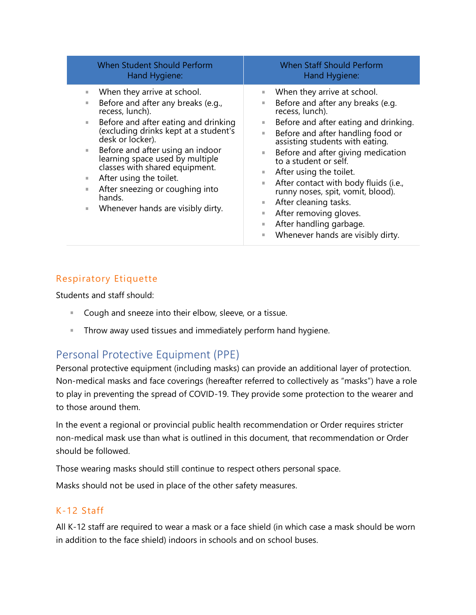| When Student Should Perform                                                                                                                                                                                                                                                                                                                                                                                                                        | <b>When Staff Should Perform</b>                                                                                                                                                                                                                                                                                                                                                                                                                                                                                                                         |
|----------------------------------------------------------------------------------------------------------------------------------------------------------------------------------------------------------------------------------------------------------------------------------------------------------------------------------------------------------------------------------------------------------------------------------------------------|----------------------------------------------------------------------------------------------------------------------------------------------------------------------------------------------------------------------------------------------------------------------------------------------------------------------------------------------------------------------------------------------------------------------------------------------------------------------------------------------------------------------------------------------------------|
| Hand Hygiene:                                                                                                                                                                                                                                                                                                                                                                                                                                      | Hand Hygiene:                                                                                                                                                                                                                                                                                                                                                                                                                                                                                                                                            |
| When they arrive at school.<br>ш<br>Before and after any breaks (e.g.,<br>٠<br>recess, lunch).<br>Before and after eating and drinking<br>ш<br>(excluding drinks kept at a student's<br>desk or locker).<br>Before and after using an indoor<br>٠<br>learning space used by multiple<br>classes with shared equipment.<br>After using the toilet.<br>ш<br>After sneezing or coughing into<br>ш<br>hands.<br>Whenever hands are visibly dirty.<br>ш | When they arrive at school.<br>ш<br>Before and after any breaks (e.g.<br>ш<br>recess, lunch).<br>Before and after eating and drinking.<br>ш<br>Before and after handling food or<br>H.<br>assisting students with eating.<br>Before and after giving medication<br>u.<br>to a student or self.<br>After using the toilet.<br>ш<br>After contact with body fluids (i.e.,<br>ш<br>runny noses, spit, vomit, blood).<br>After cleaning tasks.<br>ш<br>After removing gloves.<br>ш<br>After handling garbage.<br>ш<br>Whenever hands are visibly dirty.<br>ш |

#### <span id="page-14-0"></span>Respiratory Etiquette

Students and staff should:

- **Cough and sneeze into their elbow, sleeve, or a tissue.**
- **Throw away used tissues and immediately perform hand hygiene.**

# <span id="page-14-1"></span>Personal Protective Equipment (PPE)

Personal protective equipment (including masks) can provide an additional layer of protection. Non-medical masks and face coverings (hereafter referred to collectively as "masks") have a role to play in preventing the spread of COVID-19. They provide some protection to the wearer and to those around them.

In the event a regional or provincial public health recommendation or Order requires stricter non-medical mask use than what is outlined in this document, that recommendation or Order should be followed.

Those wearing masks should still continue to respect others personal space.

Masks should not be used in place of the other safety measures.

#### <span id="page-14-2"></span>K-12 Staff

All K-12 staff are required to wear a mask or a face shield (in which case a mask should be worn in addition to the face shield) indoors in schools and on school buses.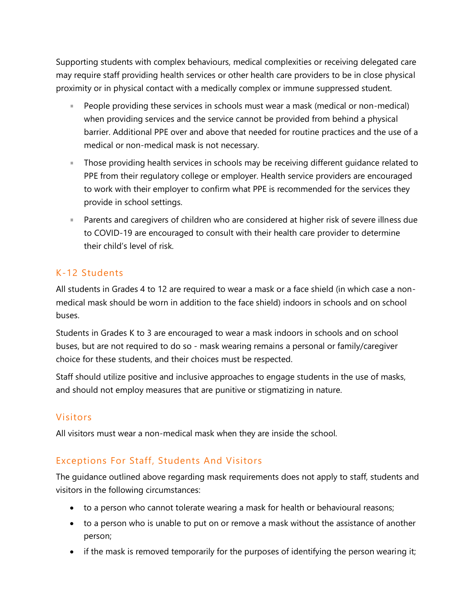Supporting students with complex behaviours, medical complexities or receiving delegated care may require staff providing health services or other health care providers to be in close physical proximity or in physical contact with a medically complex or immune suppressed student.

- People providing these services in schools must wear a mask (medical or non-medical) when providing services and the service cannot be provided from behind a physical barrier. Additional PPE over and above that needed for routine practices and the use of a medical or non-medical mask is not necessary.
- Those providing health services in schools may be receiving different guidance related to PPE from their regulatory college or employer. Health service providers are encouraged to work with their employer to confirm what PPE is recommended for the services they provide in school settings.
- Parents and caregivers of children who are considered at higher risk of severe illness due to COVID-19 are encouraged to consult with their health care provider to determine their child's level of risk.

#### <span id="page-15-0"></span>K-12 Students

All students in Grades 4 to 12 are required to wear a mask or a face shield (in which case a nonmedical mask should be worn in addition to the face shield) indoors in schools and on school buses.

Students in Grades K to 3 are encouraged to wear a mask indoors in schools and on school buses, but are not required to do so - mask wearing remains a personal or family/caregiver choice for these students, and their choices must be respected.

Staff should utilize positive and inclusive approaches to engage students in the use of masks, and should not employ measures that are punitive or stigmatizing in nature.

#### <span id="page-15-1"></span>Visitors

All visitors must wear a non-medical mask when they are inside the school.

#### <span id="page-15-2"></span>Exceptions For Staff, Students And Visitors

The guidance outlined above regarding mask requirements does not apply to staff, students and visitors in the following circumstances:

- to a person who cannot tolerate wearing a mask for health or behavioural reasons;
- to a person who is unable to put on or remove a mask without the assistance of another person;
- if the mask is removed temporarily for the purposes of identifying the person wearing it;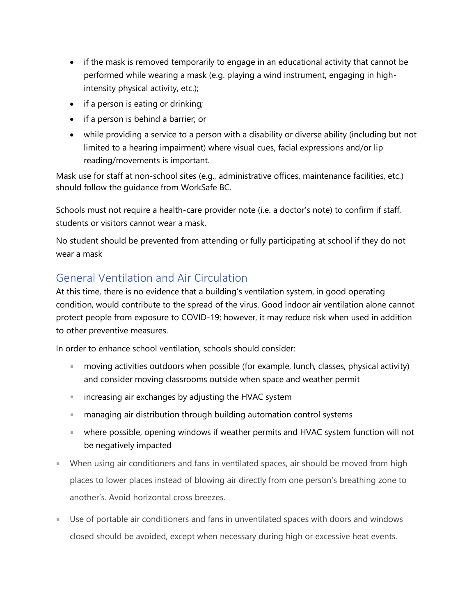- if the mask is removed temporarily to engage in an educational activity that cannot be performed while wearing a mask (e.g. playing a wind instrument, engaging in highintensity physical activity, etc.);
- if a person is eating or drinking;
- if a person is behind a barrier; or
- while providing a service to a person with a disability or diverse ability (including but not limited to a hearing impairment) where visual cues, facial expressions and/or lip reading/movements is important.

Mask use for staff at non-school sites (e.g., administrative offices, maintenance facilities, etc.) should follow the guidance from WorkSafe BC.

Schools must not require a health-care provider note (i.e. a doctor's note) to confirm if staff, students or visitors cannot wear a mask.

No student should be prevented from attending or fully participating at school if they do not wear a mask

# <span id="page-16-0"></span>General Ventilation and Air Circulation

At this time, there is no evidence that a building's ventilation system, in good operating condition, would contribute to the spread of the virus. Good indoor air ventilation alone cannot protect people from exposure to COVID-19; however, it may reduce risk when used in addition to other preventive measures.

In order to enhance school ventilation, schools should consider:

- a. moving activities outdoors when possible (for example, lunch, classes, physical activity) and consider moving classrooms outside when space and weather permit
- **increasing air exchanges by adjusting the HVAC system**
- managing air distribution through building automation control systems
- where possible, opening windows if weather permits and HVAC system function will not be negatively impacted
- When using air conditioners and fans in ventilated spaces, air should be moved from high places to lower places instead of blowing air directly from one person's breathing zone to another's. Avoid horizontal cross breezes.
- Use of portable air conditioners and fans in unventilated spaces with doors and windows closed should be avoided, except when necessary during high or excessive heat events.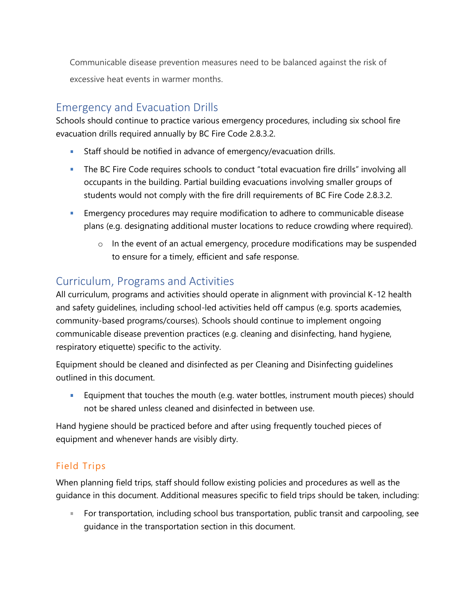Communicable disease prevention measures need to be balanced against the risk of excessive heat events in warmer months.

# <span id="page-17-0"></span>Emergency and Evacuation Drills

Schools should continue to practice various emergency procedures, including six school fire evacuation drills required annually by [BC Fire Code 2.8.3.2.](http://free.bcpublications.ca/civix/document/id/public/bcfc2018/bcfc_2018dbp2s28/search/CIVIX_DOCUMENT_ROOT_STEM:(2.8.3.2)%20AND%20CIVIX_DOCUMENT_ANCESTORS:bcfc2018?2#hit1)

- Staff should be notified in advance of emergency/evacuation drills.
- **The BC Fire Code requires schools to conduct "total evacuation fire drills" involving all** occupants in the building. Partial building evacuations involving smaller groups of students would not comply with the fire drill requirements of [BC Fire Code 2.8.3.2.](http://free.bcpublications.ca/civix/document/id/public/bcfc2018/bcfc_2018dbp2s28/search/CIVIX_DOCUMENT_ROOT_STEM:(2.8.3.2)%20AND%20CIVIX_DOCUMENT_ANCESTORS:bcfc2018?2#hit1)
- **Emergency procedures may require modification to adhere to communicable disease** plans (e.g. designating additional muster locations to reduce crowding where required).
	- o In the event of an actual emergency, procedure modifications may be suspended to ensure for a timely, efficient and safe response.

# <span id="page-17-1"></span>Curriculum, Programs and Activities

All curriculum, programs and activities should operate in alignment with provincial K-12 health and safety guidelines, including school-led activities held off campus (e.g. sports academies, community-based programs/courses). Schools should continue to implement ongoing communicable disease prevention practices (e.g. cleaning and disinfecting, hand hygiene, respiratory etiquette) specific to the activity.

Equipment should be cleaned and disinfected as per Cleaning and Disinfecting guidelines outlined in this document.

**College** Equipment that touches the mouth (e.g. water bottles, instrument mouth pieces) should not be shared unless cleaned and disinfected in between use.

Hand hygiene should be practiced before and after using frequently touched pieces of equipment and whenever hands are visibly dirty.

#### <span id="page-17-2"></span>Field Trips

When planning field trips, staff should follow existing policies and procedures as well as the guidance in this document. Additional measures specific to field trips should be taken, including:

×, For transportation, including school bus transportation, public transit and carpooling, see guidance in the transportation section in this document.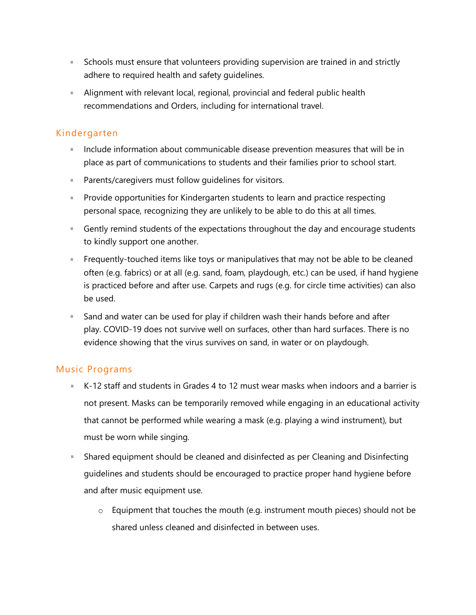- **Schools must ensure that volunteers providing supervision are trained in and strictly** adhere to required health and safety guidelines.
- Alignment with relevant local, regional, provincial and federal public health recommendations and Orders, including for international travel.

#### <span id="page-18-0"></span>Kindergarten

- **Include information about communicable disease prevention measures that will be in** place as part of communications to students and their families prior to school start.
- **Parents/caregivers must follow quidelines for visitors.**
- Provide opportunities for Kindergarten students to learn and practice respecting personal space, recognizing they are unlikely to be able to do this at all times.
- **Gently remind students of the expectations throughout the day and encourage students** to kindly support one another.
- **Figuently-touched items like toys or manipulatives that may not be able to be cleaned** often (e.g. fabrics) or at all (e.g. sand, foam, playdough, etc.) can be used, if hand hygiene is practiced before and after use. Carpets and rugs (e.g. for circle time activities) can also be used.
- Sand and water can be used for play if children wash their hands before and after play. COVID-19 does not survive well on surfaces, other than hard surfaces. There is no evidence showing that the virus survives on sand, in water or on playdough.

#### <span id="page-18-1"></span>Music Programs

- K-12 staff and students in Grades 4 to 12 must wear masks when indoors and a barrier is not present. Masks can be temporarily removed while engaging in an educational activity that cannot be performed while wearing a mask (e.g. playing a wind instrument), but must be worn while singing.
- Shared equipment should be cleaned and disinfected as per Cleaning and Disinfecting guidelines and students should be encouraged to practice proper hand hygiene before and after music equipment use.
	- o Equipment that touches the mouth (e.g. instrument mouth pieces) should not be shared unless cleaned and disinfected in between uses.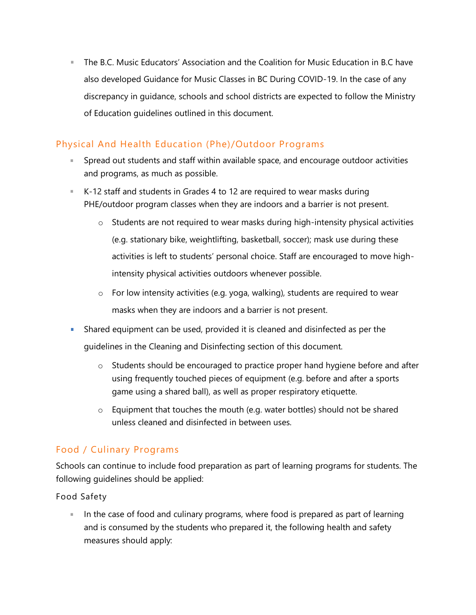The B.C. Music Educators' Association and the Coalition for Music Education in B.C have also developed [Guidance for Music Classes in BC During COVID-19.](https://drive.google.com/file/d/1KG2rE1rU-NENxbQsuYN20xnM9TBlNn3Z/view) In the case of any discrepancy in guidance, schools and school districts are expected to follow the Ministry of Education guidelines outlined in this document.

#### <span id="page-19-0"></span>Physical And Health Education (Phe)/Outdoor Programs

- Spread out students and staff within available space, and encourage outdoor activities and programs, as much as possible.
- K-12 staff and students in Grades 4 to 12 are required to wear masks during PHE/outdoor program classes when they are indoors and a barrier is not present.
	- o Students are not required to wear masks during high-intensity physical activities (e.g. stationary bike, weightlifting, basketball, soccer); mask use during these activities is left to students' personal choice. Staff are encouraged to move highintensity physical activities outdoors whenever possible.
	- $\circ$  For low intensity activities (e.g. yoga, walking), students are required to wear masks when they are indoors and a barrier is not present.
- Shared equipment can be used, provided it is cleaned and disinfected as per the guidelines in the Cleaning and Disinfecting section of this document.
	- o Students should be encouraged to practice proper hand hygiene before and after using frequently touched pieces of equipment (e.g. before and after a sports game using a shared ball), as well as proper respiratory etiquette.
	- o Equipment that touches the mouth (e.g. water bottles) should not be shared unless cleaned and disinfected in between uses.

#### <span id="page-19-1"></span>Food / Culinary Programs

Schools can continue to include food preparation as part of learning programs for students. The following guidelines should be applied:

#### Food Safety

In the case of food and culinary programs, where food is prepared as part of learning and is consumed by the students who prepared it, the following health and safety measures should apply: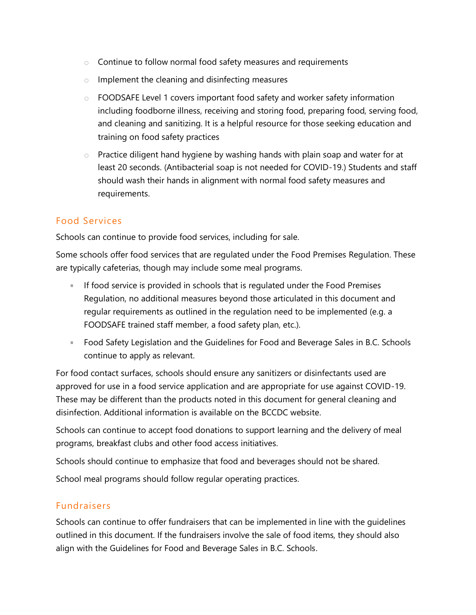- o Continue to follow normal food safety measures and requirements
- $\circ$  Implement the cleaning and disinfecting measures
- o [FOODSAFE](http://www.foodsafe.ca/index.html) Level 1 covers important food safety and worker safety information including foodborne illness, receiving and storing food, preparing food, serving food, and cleaning and sanitizing. It is a helpful resource for those seeking education and training on food safety practices
- $\circ$  Practice diligent hand hygiene by washing hands with plain soap and water for at least 20 seconds. (Antibacterial soap is not needed for COVID-19.) Students and staff should wash their hands in alignment with normal food safety measures and requirements.

#### <span id="page-20-0"></span>Food Services

Schools can continue to provide food services, including for sale.

Some schools offer food services that are regulated under the [Food Premises Regulation.](https://www.bclaws.ca/civix/document/id/complete/statreg/11_210_99) These are typically cafeterias, though may include some meal programs.

- If food service is provided in schools that is regulated under the Food Premises Regulation, no additional measures beyond those articulated in this document and regular requirements as outlined in the regulation need to be implemented (e.g. a FOODSAFE trained staff member, a food safety plan, etc.).
- **[Food Safety Legislation](https://www2.gov.bc.ca/gov/content/health/keeping-bc-healthy-safe/food-safety/food-safety-legislation) and the [Guidelines for Food and Beverage Sales in B.C. Schools](https://www2.gov.bc.ca/assets/gov/education/administration/kindergarten-to-grade-12/healthyschools/2015_food_guidelines.pdf)** continue to apply as relevant.

For food contact surfaces, schools should ensure any sanitizers or disinfectants used are approved for use in a food service application and are appropriate for use against COVID-19. These may be different than the products noted in this document for general cleaning and disinfection. Additional information is available on the [BCCDC website.](http://www.bccdc.ca/health-info/diseases-conditions/covid-19/employers-businesses/food-businesses)

Schools can continue to accept food donations to support learning and the delivery of meal programs, breakfast clubs and other food access initiatives.

Schools should continue to emphasize that food and beverages should not be shared.

School meal programs should follow regular operating practices.

#### <span id="page-20-1"></span>Fundraisers

Schools can continue to offer fundraisers that can be implemented in line with the guidelines outlined in this document. If the fundraisers involve the sale of food items, they should also align with the [Guidelines for Food and Beverage Sales in B.C. Schools.](https://www2.gov.bc.ca/assets/gov/education/administration/kindergarten-to-grade-12/healthyschools/2015_food_guidelines.pdf)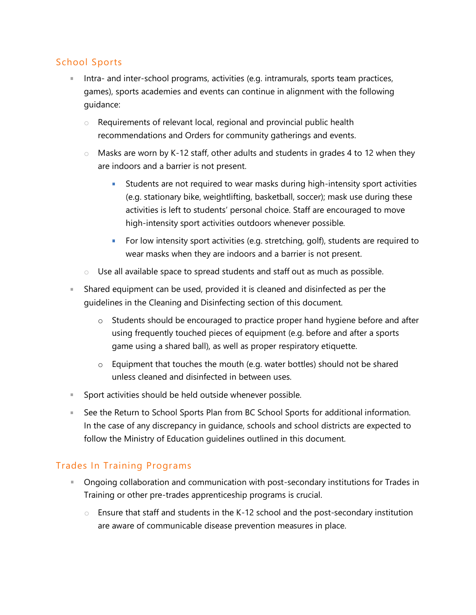#### <span id="page-21-0"></span>School Sports

- Intra- and inter-school programs, activities (e.g. intramurals, sports team practices, games), sports academies and events can continue in alignment with the following guidance:
	- o Requirements of relevant local, regional and provincial public health recommendations and Orders for community gatherings and events.
	- $\circ$  Masks are worn by K-12 staff, other adults and students in grades 4 to 12 when they are indoors and a barrier is not present.
		- **I** Students are not required to wear masks during high-intensity sport activities (e.g. stationary bike, weightlifting, basketball, soccer); mask use during these activities is left to students' personal choice. Staff are encouraged to move high-intensity sport activities outdoors whenever possible.
		- **For low intensity sport activities (e.g. stretching, golf), students are required to** wear masks when they are indoors and a barrier is not present.
	- o Use all available space to spread students and staff out as much as possible.
- Shared equipment can be used, provided it is cleaned and disinfected as per the guidelines in the Cleaning and Disinfecting section of this document.
	- o Students should be encouraged to practice proper hand hygiene before and after using frequently touched pieces of equipment (e.g. before and after a sports game using a shared ball), as well as proper respiratory etiquette.
	- $\circ$  Equipment that touches the mouth (e.g. water bottles) should not be shared unless cleaned and disinfected in between uses.
- **Sport activities should be held outside whenever possible.**
- See the [Return to School Sports Plan from BC School Sports](https://www.bcschoolsports.ca/sites/default/files/BCSS%20Return%20to%20School%20Sport%20Plan%20v2%20-%20Sept%2023%202020.pdf) for additional information. In the case of any discrepancy in guidance, schools and school districts are expected to follow the Ministry of Education guidelines outlined in this document.

#### <span id="page-21-1"></span>Trades In Training Programs

- **Diamonal Collaboration and communication with post-secondary institutions for Trades in** Training or other pre-trades apprenticeship programs is crucial.
	- $\circ$  Ensure that staff and students in the K-12 school and the post-secondary institution are aware of communicable disease prevention measures in place.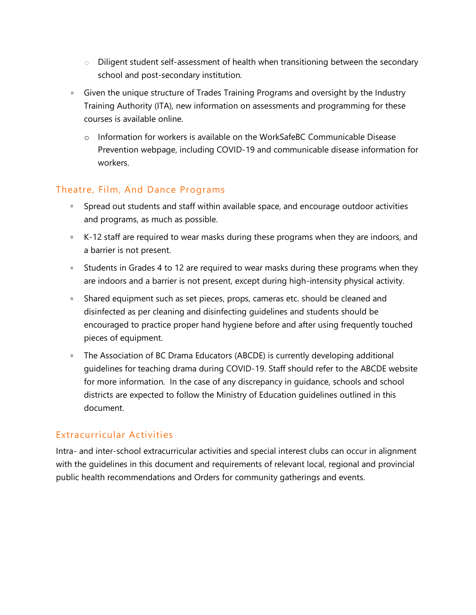- o Diligent student self-assessment of health when transitioning between the secondary school and post-secondary institution.
- Given the unique structure of Trades Training Programs and oversight by the Industry Training Authority (ITA), new information on assessments and programming for these courses is [available online.](http://youth.itabc.ca/covid-19-youth/)
	- o Information for workers is available on the WorkSafeBC [Communicable Disease](https://www.worksafebc.com/en/covid-19/bcs-four-step-restart)  [Prevention](https://www.worksafebc.com/en/covid-19/bcs-four-step-restart) webpage, including [COVID-19 and communicable disease information for](https://www.worksafebc.com/en/covid-19/covid-19-information-for-workers)  [workers.](https://www.worksafebc.com/en/covid-19/covid-19-information-for-workers)

#### <span id="page-22-0"></span>Theatre, Film, And Dance Programs

- Spread out students and staff within available space, and encourage outdoor activities and programs, as much as possible.
- K-12 staff are required to wear masks during these programs when they are indoors, and a barrier is not present.
- **Students in Grades 4 to 12 are required to wear masks during these programs when they** are indoors and a barrier is not present, except during high-intensity physical activity.
- **Shared equipment such as set pieces, props, cameras etc. should be cleaned and** disinfected as per cleaning and disinfecting guidelines and students should be encouraged to practice proper hand hygiene before and after using frequently touched pieces of equipment.
- **The Association of BC Drama Educators (ABCDE) is currently developing additional** guidelines for teaching drama during COVID-19. Staff should refer to the [ABCDE website](http://www.bcdramateachers.com/) for more information. In the case of any discrepancy in guidance, schools and school districts are expected to follow the Ministry of Education guidelines outlined in this document.

#### <span id="page-22-1"></span>Extracurricular Activities

Intra- and inter-school extracurricular activities and special interest clubs can occur in alignment with the guidelines in this document and requirements of relevant local, regional and provincial public health recommendations and Orders for community gatherings and events.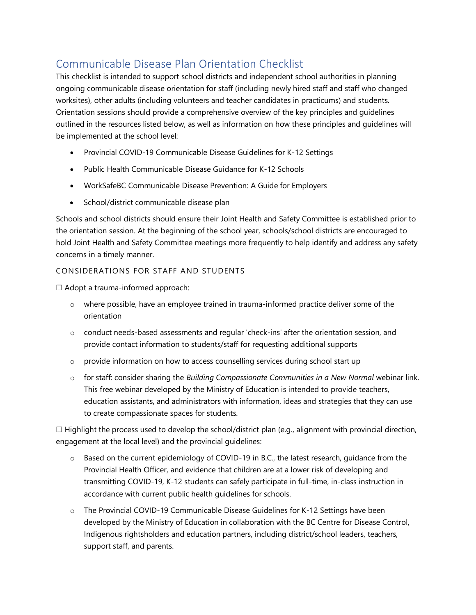# <span id="page-23-0"></span>Communicable Disease Plan Orientation Checklist

This checklist is intended to support school districts and independent school authorities in planning ongoing communicable disease orientation for staff (including newly hired staff and staff who changed worksites), other adults (including volunteers and teacher candidates in practicums) and students. Orientation sessions should provide a comprehensive overview of the key principles and guidelines outlined in the resources listed below, as well as information on how these principles and guidelines will be implemented at the school level:

- [Provincial COVID-19 Communicable Disease Guidelines for K-12 Settings](https://www2.gov.bc.ca/assets/gov/education/administration/kindergarten-to-grade-12/safe-caring-orderly/k-12-covid-19-health-safety-guidlines.pdf)
- [Public Health Communicable Disease Guidance for K-12 Schools](http://www.bccdc.ca/Health-Info-Site/Documents/COVID_public_guidance/Guidance-k-12-schools.pdf)
- [WorkSafeBC Communicable Disease Prevention: A Guide for Employers](https://www.worksafebc.com/en/resources/health-safety/books-guides/communicable-disease-prevention-guide-employers)
- School/district communicable disease plan

Schools and school districts should ensure their Joint Health and Safety Committee is established prior to the orientation session. At the beginning of the school year, schools/school districts are encouraged to hold Joint Health and Safety Committee meetings more frequently to help identify and address any safety concerns in a timely manner.

#### <span id="page-23-1"></span>CONSIDERATIONS FOR STAFF AND STUDENTS

☐ Adopt a trauma-informed approach:

- o where possible, have an employee trained in trauma-informed practice deliver some of the orientation
- o conduct needs-based assessments and regular 'check-ins' after the orientation session, and provide contact information to students/staff for requesting additional supports
- o provide information on how to access counselling services during school start up
- o for staff: consider sharing the *[Building Compassionate Communities in a New Normal](https://www.openschool.bc.ca/webinars)* webinar link. This free webinar developed by the Ministry of Education is intended to provide teachers, education assistants, and administrators with information, ideas and strategies that they can use to create compassionate spaces for students.

 $\Box$  Highlight the process used to develop the school/district plan (e.g., alignment with provincial direction, engagement at the local level) and the provincial guidelines:

- $\circ$  Based on the current epidemiology of COVID-19 in B.C., the latest research, guidance from the Provincial Health Officer, and evidence that children are at a lower risk of developing and transmitting COVID-19, K-12 students can safely participate in full-time, in-class instruction in accordance with current public health guidelines for schools.
- o The Provincial COVID-19 Communicable Disease Guidelines for K-12 Settings have been developed by the Ministry of Education in collaboration with the BC Centre for Disease Control, Indigenous rightsholders and education partners, including district/school leaders, teachers, support staff, and parents.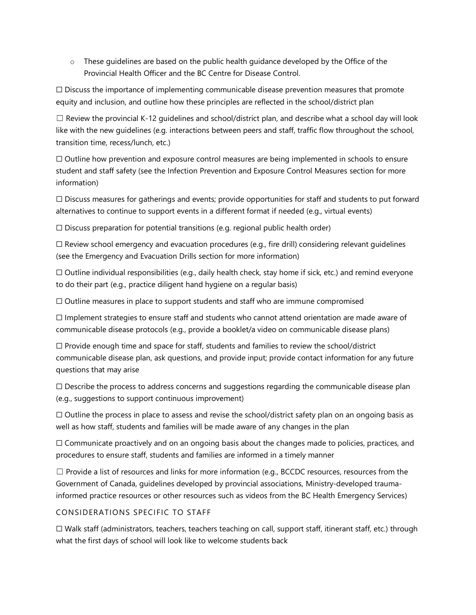$\circ$  These guidelines are based on the public health guidance developed by the Office of the Provincial Health Officer and the BC Centre for Disease Control.

 $\Box$  Discuss the importance of implementing communicable disease prevention measures that promote equity and inclusion, and outline how these principles are reflected in the school/district plan

 $\Box$  Review the provincial K-12 guidelines and school/district plan, and describe what a school day will look like with the new guidelines (e.g. interactions between peers and staff, traffic flow throughout the school, transition time, recess/lunch, etc.)

☐ Outline how prevention and exposure control measures are being implemented in schools to ensure student and staff safety (see the Infection Prevention and Exposure Control Measures section for more information)

 $\Box$  Discuss measures for gatherings and events; provide opportunities for staff and students to put forward alternatives to continue to support events in a different format if needed (e.g., virtual events)

 $\Box$  Discuss preparation for potential transitions (e.g. regional public health order)

 $\Box$  Review school emergency and evacuation procedures (e.g., fire drill) considering relevant guidelines (see the Emergency and Evacuation Drills section for more information)

 $\Box$  Outline individual responsibilities (e.g., daily health check, stay home if sick, etc.) and remind everyone to do their part (e.g., practice diligent hand hygiene on a regular basis)

 $\Box$  Outline measures in place to support students and staff who are immune compromised

☐ Implement strategies to ensure staff and students who cannot attend orientation are made aware of communicable disease protocols (e.g., provide a booklet/a video on communicable disease plans)

 $\Box$  Provide enough time and space for staff, students and families to review the school/district communicable disease plan, ask questions, and provide input; provide contact information for any future questions that may arise

 $\Box$  Describe the process to address concerns and suggestions regarding the communicable disease plan (e.g., suggestions to support continuous improvement)

 $\Box$  Outline the process in place to assess and revise the school/district safety plan on an ongoing basis as well as how staff, students and families will be made aware of any changes in the plan

☐ Communicate proactively and on an ongoing basis about the changes made to policies, practices, and procedures to ensure staff, students and families are informed in a timely manner

 $\Box$  Provide a list of resources and links for more information (e.g., [BCCDC resources,](http://www.bccdc.ca/schools) resources from the [Government of Canada,](https://www.canada.ca/en/public-health/services/diseases/2019-novel-coronavirus-infection/awareness-resources.html) guidelines developed by provincial associations, [Ministry-developed trauma](https://mytrainingbc.ca/traumainformedpractice/)[informed practice resources](https://mytrainingbc.ca/traumainformedpractice/) or other resources such as [videos from the BC Health Emergency Services\)](https://www.youtube.com/channel/UCB3gsij7i8NvQxnBEVsiVFQ/videos)

#### <span id="page-24-0"></span>CONSIDERATIONS SPECIFIC TO STAFF

☐ Walk staff (administrators, teachers, teachers teaching on call, support staff, itinerant staff, etc.) through what the first days of school will look like to welcome students back